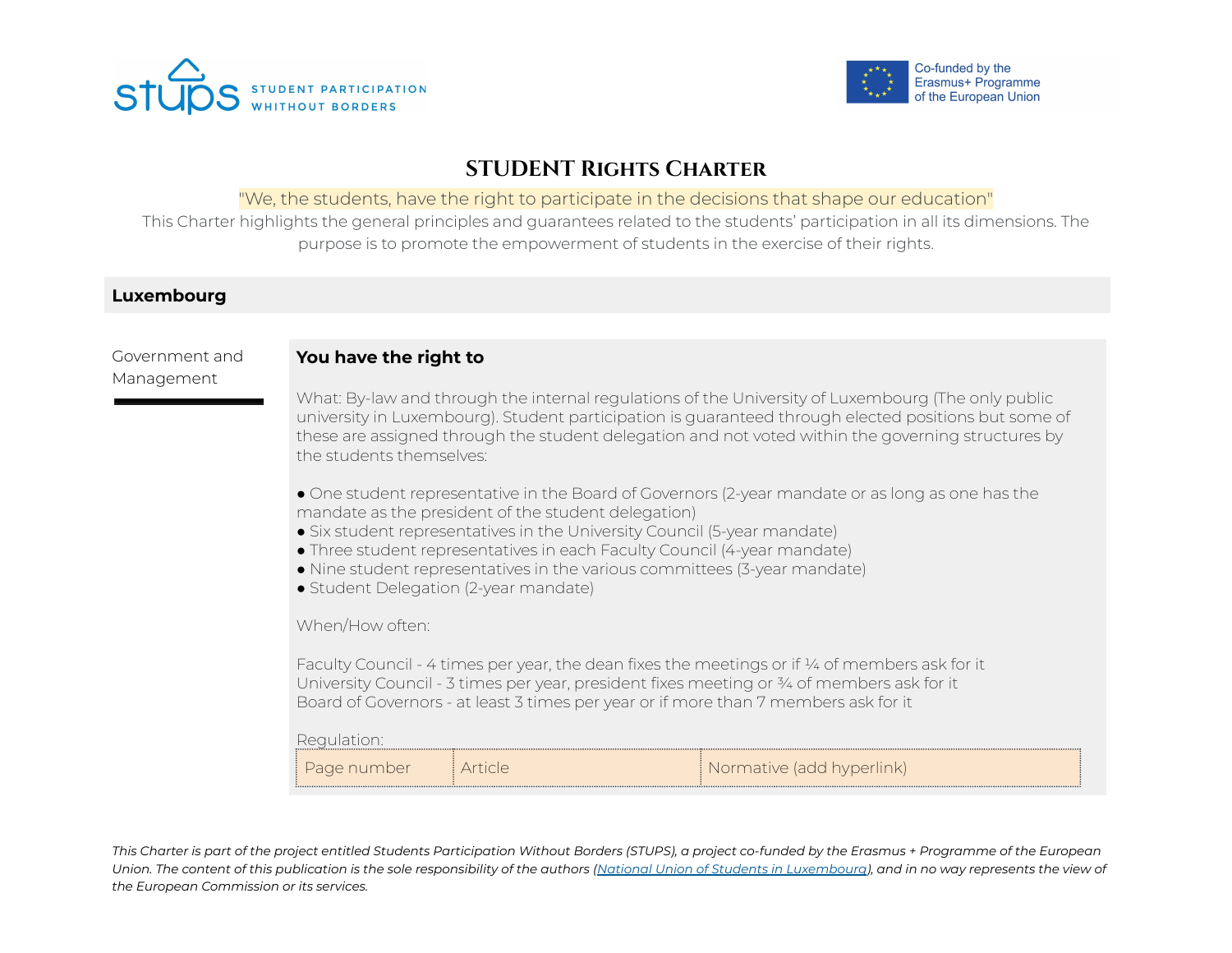



# **STUDENT Rights Charter**

### "We, the students, have the right to participate in the decisions that shape our education"

This Charter highlights the general principles and guarantees related to the students' participation in all its dimensions. The purpose is to promote the empowerment of students in the exercise of their rights.

#### **Luxembourg**

Government and Management

#### **You have the right to**

What: By-law and through the internal regulations of the University of Luxembourg (The only public university in Luxembourg). Student participation is guaranteed through elected positions but some of these are assigned through the student delegation and not voted within the governing structures by the students themselves:

● One student representative in the Board of Governors (2-year mandate or as long as one has the mandate as the president of the student delegation)

- Six student representatives in the University Council (5-year mandate)
- Three student representatives in each Faculty Council (4-year mandate)
- Nine student representatives in the various committees (3-year mandate)
- Student Delegation (2-year mandate)

When/How often:

Faculty Council - 4 times per year, the dean fixes the meetings or if  $\frac{1}{4}$  of members ask for it University Council - 3 times per year, president fixes meeting or 3⁄4 of members ask for it Board of Governors - at least 3 times per year or if more than 7 members ask for it

Regulation:

| number | native (add hvperlink).<br>NOLL |  |
|--------|---------------------------------|--|
|        |                                 |  |
|        |                                 |  |

This Charter is part of the project entitled Students Participation Without Borders (STUPS), a project co-funded by the Erasmus + Programme of the European Union. The content of this publication is the sole responsibility of the authors (National Union of Students in [Luxembourg](http://www.unel.lu/)), and in no way represents the view of *the European Commission or its services.*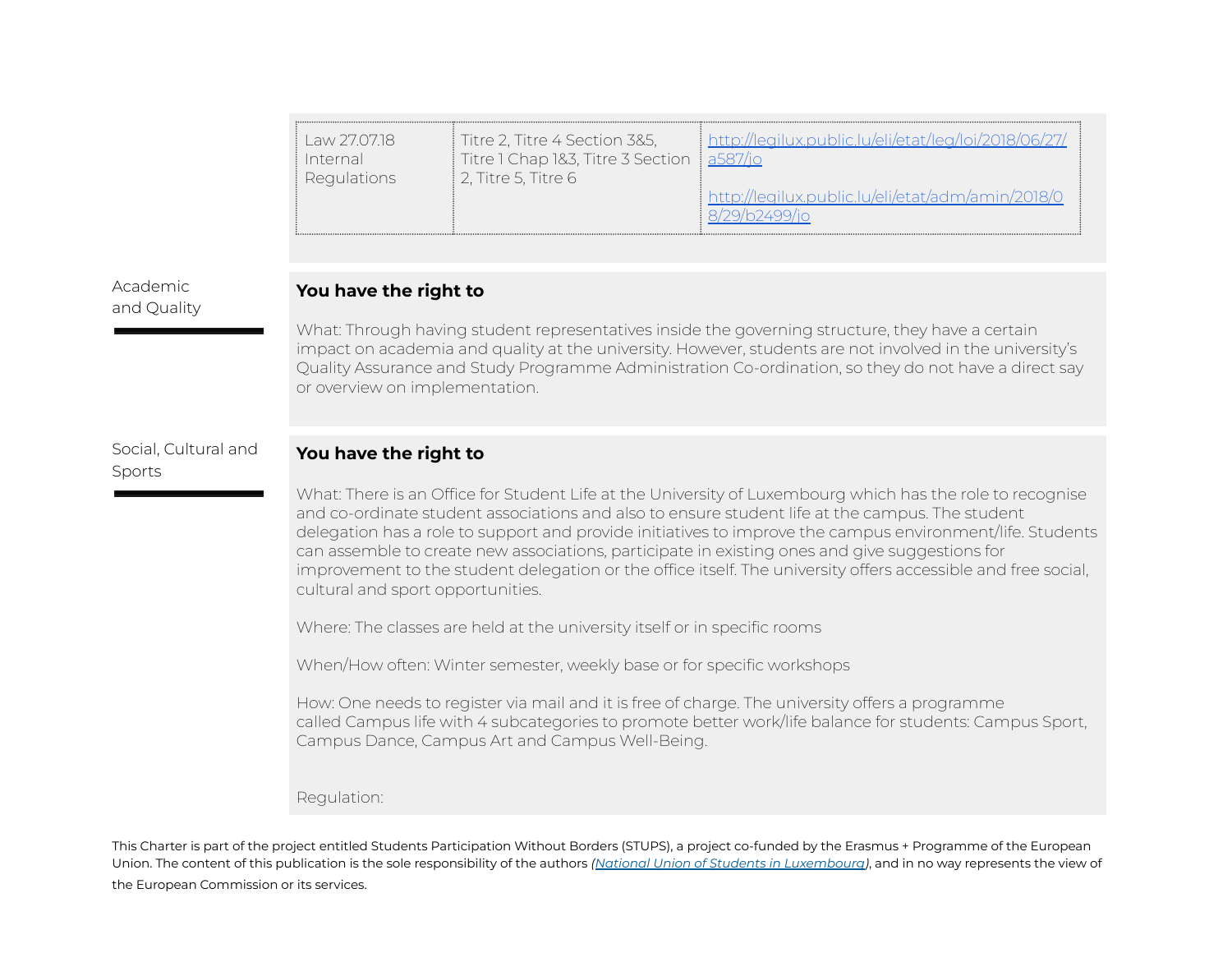| Titre 1 Chap 1&3, Titre 3 Section 3587/io<br>Internal<br><b>Regulations</b><br>$\vert$ 2, Titre 5, Titre 6<br>http://legilux.public.lu/eli/etat/adm/amin/2018/0 | Law 27.0718 | Titre 2, Titre 4 Section 3&5, | //legilux.public.lu/eli/etat/leg/loi/20 |
|-----------------------------------------------------------------------------------------------------------------------------------------------------------------|-------------|-------------------------------|-----------------------------------------|
|-----------------------------------------------------------------------------------------------------------------------------------------------------------------|-------------|-------------------------------|-----------------------------------------|

Academic and Quality

#### **You have the right to**

What: Through having student representatives inside the governing structure, they have a certain impact on academia and quality at the university. However, students are not involved in the university's Quality Assurance and Study Programme Administration Co-ordination, so they do not have a direct say or overview on implementation.

#### Social, Cultural and Sports

#### **You have the right to**

What: There is an Office for Student Life at the University of Luxembourg which has the role to recognise and co-ordinate student associations and also to ensure student life at the campus. The student delegation has a role to support and provide initiatives to improve the campus environment/life. Students can assemble to create new associations, participate in existing ones and give suggestions for improvement to the student delegation or the office itself. The university offers accessible and free social, cultural and sport opportunities.

Where: The classes are held at the university itself or in specific rooms

When/How often: Winter semester, weekly base or for specific workshops

How: One needs to register via mail and it is free of charge. The university offers a programme called Campus life with 4 subcategories to promote better work/life balance for students: Campus Sport, Campus Dance, Campus Art and Campus Well-Being.

Regulation:

This Charter is part of the project entitled Students Participation Without Borders (STUPS), a project co-funded by the Erasmus + Programme of the European Union. The content of this publication is the sole responsibility of the authors *(National Union of Students in [Luxembourg](http://www.unel.lu/))*, and in no way represents the view of the European Commission or its services.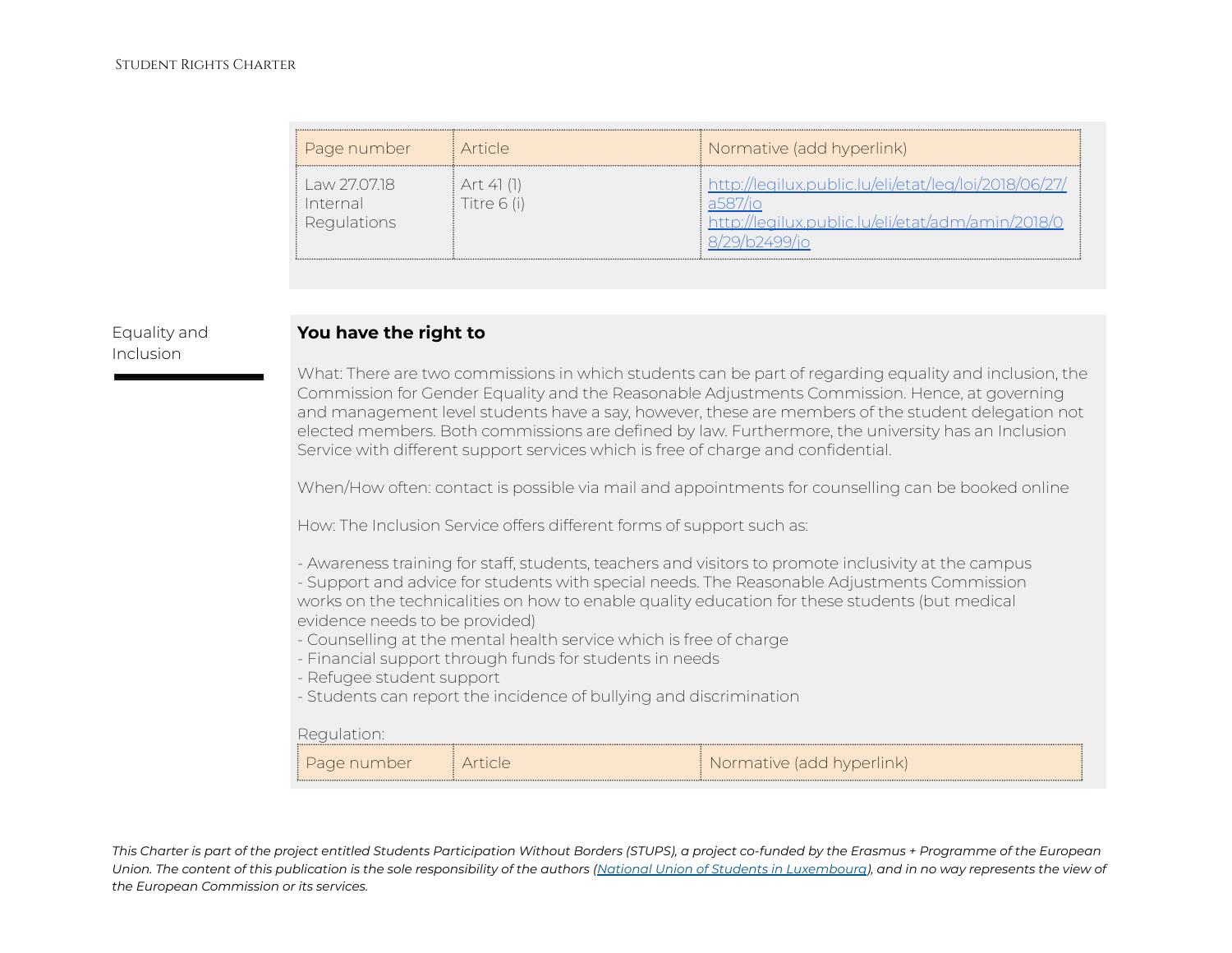| Page number                           | i Article.                | Normative (add hyperlink)                                                                             |
|---------------------------------------|---------------------------|-------------------------------------------------------------------------------------------------------|
| Law 270718<br>Internal<br>Regulations | Art 41 (1)<br>Titre 6 (i) | http://legilux.public.lu/eli/etat/leg/loi/2018/06/27/<br>//legilux.public.lu/eli/etat/adm/amin/2018/0 |

# Equality and Inclusion

## **You have the right to**

What: There are two commissions in which students can be part of regarding equality and inclusion, the Commission for Gender Equality and the Reasonable Adjustments Commission. Hence, at governing and management level students have a say, however, these are members of the student delegation not elected members. Both commissions are defined by law. Furthermore, the university has an Inclusion Service with different support services which is free of charge and confidential.

When/How often: contact is possible via mail and appointments for counselling can be booked online

How: The Inclusion Service offers different forms of support such as:

- Awareness training for staff, students, teachers and visitors to promote inclusivity at the campus - Support and advice for students with special needs. The Reasonable Adjustments Commission works on the technicalities on how to enable quality education for these students (but medical evidence needs to be provided)
- Counselling at the mental health service which is free of charge
- Financial support through funds for students in needs
- Refugee student support
- Students can report the incidence of bullying and discrimination

#### Regulation:

| Page number | Normative (add hyperlink) |  |
|-------------|---------------------------|--|
|             |                           |  |
|             |                           |  |
|             |                           |  |
|             |                           |  |
|             |                           |  |

This Charter is part of the project entitled Students Participation Without Borders (STUPS), a project co-funded by the Erasmus + Programme of the European Union. The content of this publication is the sole responsibility of the authors (National Union of Students in [Luxembourg](http://www.unel.lu/)), and in no way represents the view of *the European Commission or its services.*